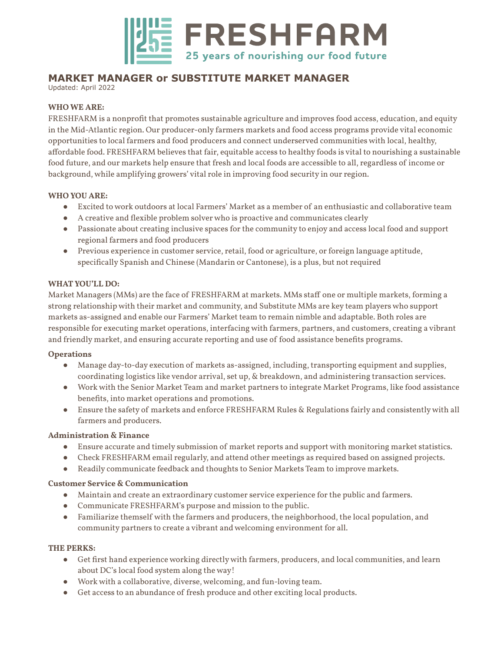

# **MARKET MANAGER or SUBSTITUTE MARKET MANAGER**

Updated: April 2022

# **WHO WE ARE:**

FRESHFARM is a nonprofit that promotes sustainable agriculture and improves food access, education, and equity in the Mid-Atlantic region. Our producer-only farmers markets and food access programs provide vital economic opportunities to local farmers and food producers and connect underserved communities with local, healthy, affordable food. FRESHFARM believes that fair, equitable access to healthy foods is vital to nourishing a sustainable food future, and our markets help ensure that fresh and local foods are accessible to all, regardless of income or background, while amplifying growers' vital role in improving food security in our region.

### **WHO YOU ARE:**

- Excited to work outdoors at local Farmers' Market as a member of an enthusiastic and collaborative team
- A creative and flexible problem solver who is proactive and communicates clearly
- Passionate about creating inclusive spaces for the community to enjoy and access local food and support regional farmers and food producers
- Previous experience in customer service, retail, food or agriculture, or foreign language aptitude, specifically Spanish and Chinese (Mandarin or Cantonese), is a plus, but not required

# **WHATYOU'LL DO:**

Market Managers (MMs) are the face of FRESHFARM at markets. MMs staff one or multiple markets, forming a strong relationship with their market and community, and Substitute MMs are key team players who support markets as-assigned and enable our Farmers' Market team to remain nimble and adaptable. Both roles are responsible for executing market operations, interfacing with farmers, partners, and customers, creating a vibrant and friendly market, and ensuring accurate reporting and use of food assistance benefits programs.

### **Operations**

- Manage day-to-day execution of markets as-assigned, including, transporting equipment and supplies, coordinating logistics like vendor arrival, set up, & breakdown, and administering transaction services.
- Work with the Senior Market Team and market partners to integrate Market Programs, like food assistance benefits, into market operations and promotions.
- Ensure the safety of markets and enforce FRESHFARM Rules & Regulations fairly and consistentlywith all farmers and producers.

### **Administration & Finance**

- Ensure accurate and timely submission of market reports and support with monitoring market statistics.
- Check FRESHFARM email regularly, and attend other meetings as required based on assigned projects.
- Readily communicate feedback and thoughts to Senior Markets Team to improve markets.

# **Customer Service & Communication**

- Maintain and create an extraordinary customer service experience for the public and farmers.
- Communicate FRESHFARM's purpose and mission to the public.
- Familiarize themself with the farmers and producers, the neighborhood, the local population, and community partners to create a vibrant and welcoming environment for all.

### **THE PERKS:**

- Get first hand experience working directlywith farmers, producers, and local communities, and learn about DC's local food system along the way!
- Work with a collaborative, diverse, welcoming, and fun-loving team.
- Get access to an abundance of fresh produce and other exciting local products.